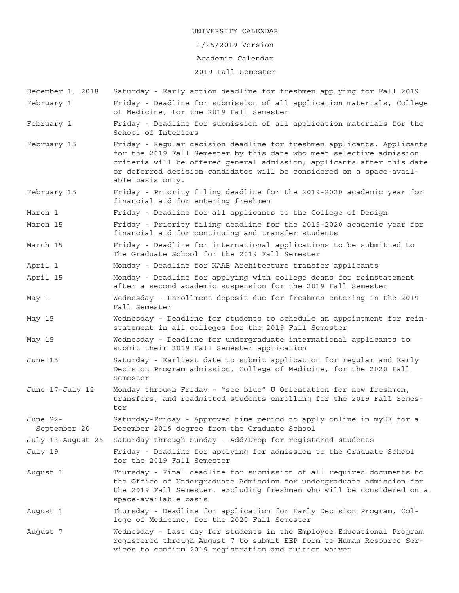### 1/25/2019 Version

### Academic Calendar

## 2019 Fall Semester

December 1, 2018 Saturday - Early action deadline for freshmen applying for Fall 2019 February 1 Friday - Deadline for submission of all application materials, College of Medicine, for the 2019 Fall Semester February 1 Friday - Deadline for submission of all application materials for the School of Interiors February 15 Friday - Regular decision deadline for freshmen applicants. Applicants for the 2019 Fall Semester by this date who meet selective admission criteria will be offered general admission; applicants after this date or deferred decision candidates will be considered on a space-available basis only. February 15 Friday - Priority filing deadline for the 2019-2020 academic year for financial aid for entering freshmen March 1 Friday - Deadline for all applicants to the College of Design March 15 Friday - Priority filing deadline for the 2019-2020 academic year for financial aid for continuing and transfer students March 15 Friday - Deadline for international applications to be submitted to The Graduate School for the 2019 Fall Semester April 1 Monday - Deadline for NAAB Architecture transfer applicants April 15 Monday - Deadline for applying with college deans for reinstatement after a second academic suspension for the 2019 Fall Semester May 1 Wednesday - Enrollment deposit due for freshmen entering in the 2019 Fall Semester May 15 Wednesday - Deadline for students to schedule an appointment for reinstatement in all colleges for the 2019 Fall Semester May 15 Wednesday - Deadline for undergraduate international applicants to submit their 2019 Fall Semester application June 15 Saturday - Earliest date to submit application for regular and Early Decision Program admission, College of Medicine, for the 2020 Fall Semester June 17-July 12 Monday through Friday - "see blue" U Orientation for new freshmen, transfers, and readmitted students enrolling for the 2019 Fall Semester June 22- Saturday-Friday - Approved time period to apply online in myUK for a September 20 December 2019 degree from the Graduate School July 13-August 25 Saturday through Sunday - Add/Drop for registered students July 19 Friday - Deadline for applying for admission to the Graduate School for the 2019 Fall Semester August 1 Thursday - Final deadline for submission of all required documents to the Office of Undergraduate Admission for undergraduate admission for the 2019 Fall Semester, excluding freshmen who will be considered on a space-available basis August 1 Thursday - Deadline for application for Early Decision Program, College of Medicine, for the 2020 Fall Semester August 7 Wednesday - Last day for students in the Employee Educational Program registered through August 7 to submit EEP form to Human Resource Services to confirm 2019 registration and tuition waiver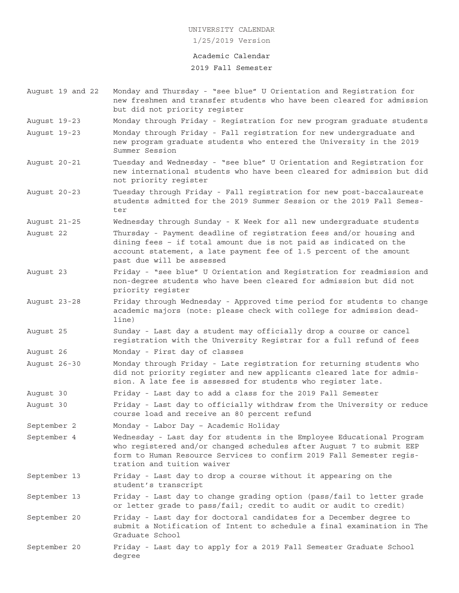## Academic Calendar

## 2019 Fall Semester

- August 19 and 22 Monday and Thursday "see blue" U Orientation and Registration for new freshmen and transfer students who have been cleared for admission but did not priority register
- August 19-23 Monday through Friday Registration for new program graduate students
- August 19-23 Monday through Friday Fall registration for new undergraduate and new program graduate students who entered the University in the 2019 Summer Session
- August 20-21 Tuesday and Wednesday "see blue" U Orientation and Registration for new international students who have been cleared for admission but did not priority register
- August 20-23 Tuesday through Friday Fall registration for new post-baccalaureate students admitted for the 2019 Summer Session or the 2019 Fall Semester
- August 21-25 Wednesday through Sunday K Week for all new undergraduate students
- August 22 Thursday Payment deadline of registration fees and/or housing and dining fees – if total amount due is not paid as indicated on the account statement, a late payment fee of 1.5 percent of the amount past due will be assessed
- August 23 Friday "see blue" U Orientation and Registration for readmission and non-degree students who have been cleared for admission but did not priority register
- August 23-28 Friday through Wednesday Approved time period for students to change academic majors (note: please check with college for admission deadline)
- August 25 Sunday Last day a student may officially drop a course or cancel registration with the University Registrar for a full refund of fees
- August 26 Monday First day of classes
- August 26-30 Monday through Friday Late registration for returning students who did not priority register and new applicants cleared late for admission. A late fee is assessed for students who register late.
- August 30 Friday Last day to add a class for the 2019 Fall Semester
- August 30 Friday Last day to officially withdraw from the University or reduce course load and receive an 80 percent refund

September 2 Monday - Labor Day – Academic Holiday

September 4 Wednesday - Last day for students in the Employee Educational Program who registered and/or changed schedules after August 7 to submit EEP form to Human Resource Services to confirm 2019 Fall Semester registration and tuition waiver

September 13 Friday - Last day to drop a course without it appearing on the student's transcript

- September 13 Friday Last day to change grading option (pass/fail to letter grade or letter grade to pass/fail; credit to audit or audit to credit)
- September 20 Friday Last day for doctoral candidates for a December degree to submit a Notification of Intent to schedule a final examination in The Graduate School
- September 20 Friday Last day to apply for a 2019 Fall Semester Graduate School degree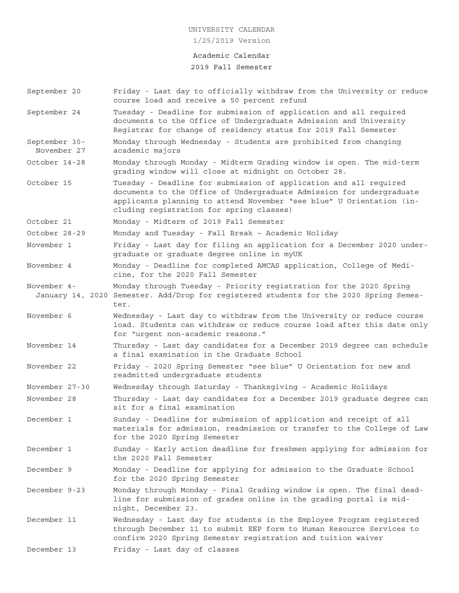### Academic Calendar

## 2019 Fall Semester

- September 20 Friday Last day to officially withdraw from the University or reduce course load and receive a 50 percent refund
- September 24 Tuesday Deadline for submission of application and all required documents to the Office of Undergraduate Admission and University Registrar for change of residency status for 2019 Fall Semester
- September 30- Monday through Wednesday Students are prohibited from changing November 27 academic majors
- October 14-28 Monday through Monday Midterm Grading window is open. The mid-term grading window will close at midnight on October 28.
- October 15 Tuesday Deadline for submission of application and all required documents to the Office of Undergraduate Admission for undergraduate applicants planning to attend November "see blue" U Orientation (including registration for spring classes)
- October 21 Monday Midterm of 2019 Fall Semester

October 28-29 Monday and Tuesday - Fall Break – Academic Holiday

- November 1 Friday Last day for filing an application for a December 2020 undergraduate or graduate degree online in myUK
- November 4 Monday Deadline for completed AMCAS application, College of Medicine, for the 2020 Fall Semester
- November 4- Monday through Tuesday Priority registration for the 2020 Spring January 14, 2020 Semester. Add/Drop for registered students for the 2020 Spring Semester.
- November 6 Wednesday Last day to withdraw from the University or reduce course load. Students can withdraw or reduce course load after this date only for "urgent non-academic reasons."
- November 14 Thursday Last day candidates for a December 2019 degree can schedule a final examination in the Graduate School
- November 22 Friday 2020 Spring Semester "see blue" U Orientation for new and readmitted undergraduate students
- November 27-30 Wednesday through Saturday Thanksgiving Academic Holidays
- November 28 Thursday Last day candidates for a December 2019 graduate degree can sit for a final examination
- December 1 Sunday Deadline for submission of application and receipt of all materials for admission, readmission or transfer to the College of Law for the 2020 Spring Semester
- December 1 Sunday Early action deadline for freshmen applying for admission for the 2020 Fall Semester
- December 9 Monday Deadline for applying for admission to the Graduate School for the 2020 Spring Semester
- December 9-23 Monday through Monday Final Grading window is open. The final deadline for submission of grades online in the grading portal is midnight, December 23.
- December 11 Wednesday Last day for students in the Employee Program registered through December 11 to submit EEP form to Human Resource Services to confirm 2020 Spring Semester registration and tuition waiver
- December 13 Friday Last day of classes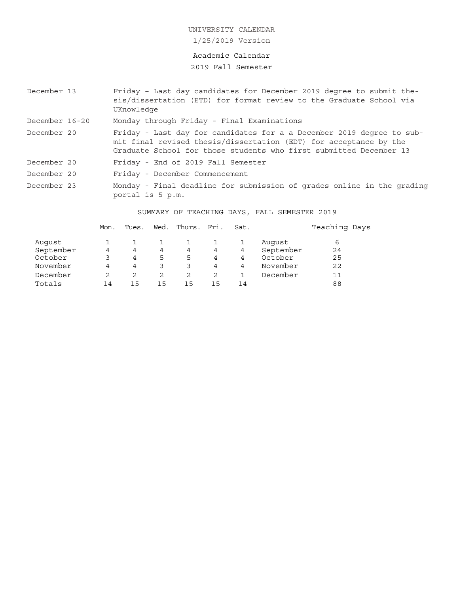## Academic Calendar

# 2019 Fall Semester

| December 13    | Friday - Last day candidates for December 2019 degree to submit the-<br>sis/dissertation (ETD) for format review to the Graduate School via<br>UKnowledge                                                        |
|----------------|------------------------------------------------------------------------------------------------------------------------------------------------------------------------------------------------------------------|
| December 16-20 | Monday through Friday - Final Examinations                                                                                                                                                                       |
| December 20    | Friday - Last day for candidates for a a December 2019 degree to sub-<br>mit final revised thesis/dissertation (EDT) for acceptance by the<br>Graduate School for those students who first submitted December 13 |
| December 20    | Friday - End of 2019 Fall Semester                                                                                                                                                                               |
| December 20    | Friday - December Commencement                                                                                                                                                                                   |
| December 23    | Monday - Final deadline for submission of grades online in the grading<br>portal is 5 p.m.                                                                                                                       |

# SUMMARY OF TEACHING DAYS, FALL SEMESTER 2019

|           | Mon. | Tues. | Wed. | Thurs. Fri. |    | Sat. |           | Teaching Days |
|-----------|------|-------|------|-------------|----|------|-----------|---------------|
| August    |      |       |      |             |    |      | Auqust    | 6             |
| September | 4    | 4     | 4    | 4           | 4  | 4    | September | 24            |
| October   |      | 4     | 5    | 5           | 4  | 4    | October   | 25            |
| November  | 4    | 4     |      |             | 4  | 4    | November  | 22            |
| December  | 2    |       |      |             |    |      | December  | 11            |
| Totals    | 14   | 15    | 15   | 15          | 15 | 14   |           | 88            |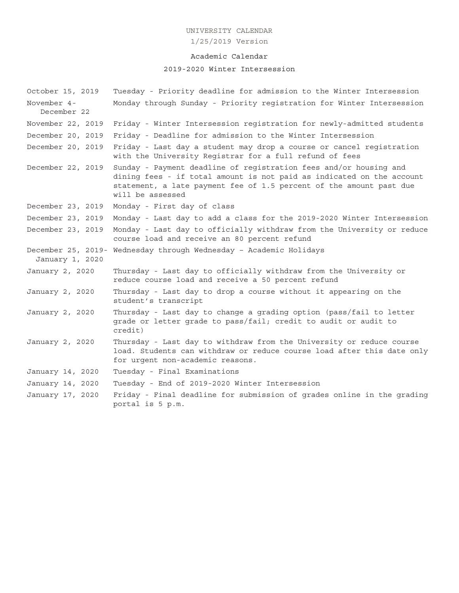1/25/2019 Version

# Academic Calendar

# 2019-2020 Winter Intersession

| October 15, 2019           | Tuesday - Priority deadline for admission to the Winter Intersession                                                                                                                                                                  |
|----------------------------|---------------------------------------------------------------------------------------------------------------------------------------------------------------------------------------------------------------------------------------|
| November 4-<br>December 22 | Monday through Sunday - Priority registration for Winter Intersession                                                                                                                                                                 |
| November 22, 2019          | Friday - Winter Intersession registration for newly-admitted students                                                                                                                                                                 |
| December 20, 2019          | Friday - Deadline for admission to the Winter Intersession                                                                                                                                                                            |
| December 20, 2019          | Friday - Last day a student may drop a course or cancel registration<br>with the University Registrar for a full refund of fees                                                                                                       |
| December 22, 2019          | Sunday - Payment deadline of registration fees and/or housing and<br>dining fees - if total amount is not paid as indicated on the account<br>statement, a late payment fee of 1.5 percent of the amount past due<br>will be assessed |
| December 23, 2019          | Monday - First day of class                                                                                                                                                                                                           |
| December 23, 2019          | Monday - Last day to add a class for the 2019-2020 Winter Intersession                                                                                                                                                                |
| December 23, 2019          | Monday - Last day to officially withdraw from the University or reduce<br>course load and receive an 80 percent refund                                                                                                                |
| January 1, 2020            | December 25, 2019- Wednesday through Wednesday - Academic Holidays                                                                                                                                                                    |
| January 2, 2020            | Thursday - Last day to officially withdraw from the University or<br>reduce course load and receive a 50 percent refund                                                                                                               |
| January 2, 2020            | Thursday - Last day to drop a course without it appearing on the<br>student's transcript                                                                                                                                              |
| January 2, 2020            | Thursday - Last day to change a grading option (pass/fail to letter<br>grade or letter grade to pass/fail; credit to audit or audit to<br>credit)                                                                                     |
| January 2, 2020            | Thursday - Last day to withdraw from the University or reduce course<br>load. Students can withdraw or reduce course load after this date only<br>for urgent non-academic reasons.                                                    |
| January 14, 2020           | Tuesday - Final Examinations                                                                                                                                                                                                          |
| January 14, 2020           | Tuesday - End of 2019-2020 Winter Intersession                                                                                                                                                                                        |
| January 17, 2020           | Friday - Final deadline for submission of grades online in the grading<br>portal is 5 p.m.                                                                                                                                            |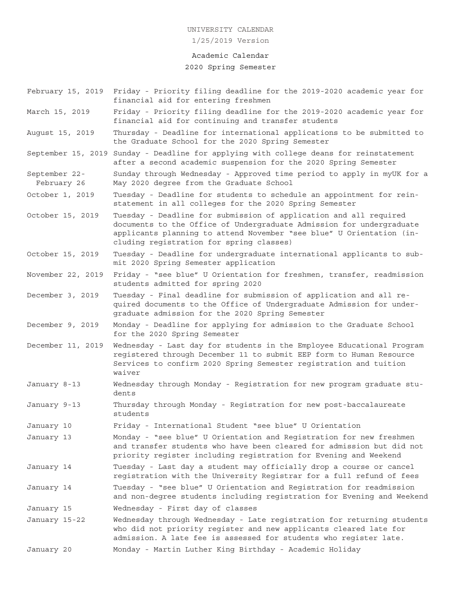# Academic Calendar

### 2020 Spring Semester

- February 15, 2019 Friday Priority filing deadline for the 2019-2020 academic year for financial aid for entering freshmen
- March 15, 2019 Friday Priority filing deadline for the 2019-2020 academic year for financial aid for continuing and transfer students
- August 15, 2019 Thursday Deadline for international applications to be submitted to the Graduate School for the 2020 Spring Semester
- September 15, 2019 Sunday Deadline for applying with college deans for reinstatement after a second academic suspension for the 2020 Spring Semester
- September 22- Sunday through Wednesday Approved time period to apply in myUK for a February 26 May 2020 degree from the Graduate School
- October 1, 2019 Tuesday Deadline for students to schedule an appointment for reinstatement in all colleges for the 2020 Spring Semester
- October 15, 2019 Tuesday Deadline for submission of application and all required documents to the Office of Undergraduate Admission for undergraduate applicants planning to attend November "see blue" U Orientation (including registration for spring classes)
- October 15, 2019 Tuesday Deadline for undergraduate international applicants to submit 2020 Spring Semester application
- November 22, 2019 Friday "see blue" U Orientation for freshmen, transfer, readmission students admitted for spring 2020
- December 3, 2019 Tuesday Final deadline for submission of application and all required documents to the Office of Undergraduate Admission for undergraduate admission for the 2020 Spring Semester
- December 9, 2019 Monday Deadline for applying for admission to the Graduate School for the 2020 Spring Semester
- December 11, 2019 Wednesday Last day for students in the Employee Educational Program registered through December 11 to submit EEP form to Human Resource Services to confirm 2020 Spring Semester registration and tuition waiver
- January 8-13 Wednesday through Monday Registration for new program graduate students
- January 9-13 Thursday through Monday Registration for new post-baccalaureate students
- January 10 Friday International Student "see blue" U Orientation
- January 13 Monday "see blue" U Orientation and Registration for new freshmen and transfer students who have been cleared for admission but did not priority register including registration for Evening and Weekend
- January 14 Tuesday Last day a student may officially drop a course or cancel registration with the University Registrar for a full refund of fees
- January 14 Tuesday "see blue" U Orientation and Registration for readmission and non-degree students including registration for Evening and Weekend
- January 15 Wednesday First day of classes
- January 15-22 Wednesday through Wednesday Late registration for returning students who did not priority register and new applicants cleared late for admission. A late fee is assessed for students who register late.
- January 20 Monday Martin Luther King Birthday Academic Holiday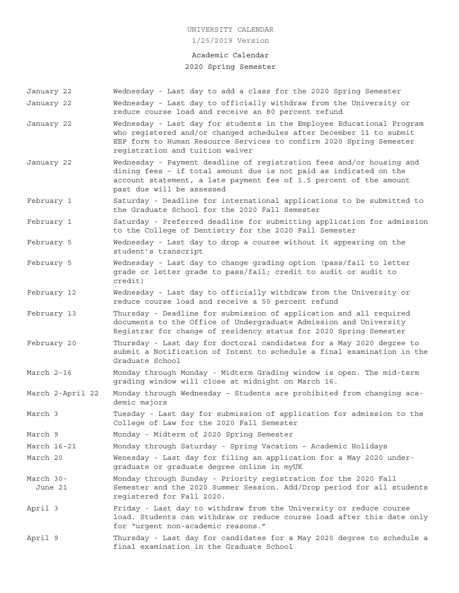### Academic Calendar

## 2020 Spring Semester

January 22 Wednesday - Last day to add a class for the 2020 Spring Semester January 22 Wednesday - Last day to officially withdraw from the University or reduce course load and receive an 80 percent refund January 22 Wednesday - Last day for students in the Employee Educational Program who registered and/or changed schedules after December 11 to submit EEP form to Human Resource Services to confirm 2020 Spring Semester registration and tuition waiver January 22 Wednesday - Payment deadline of registration fees and/or housing and dining fees – if total amount due is not paid as indicated on the account statement, a late payment fee of 1.5 percent of the amount past due will be assessed February 1 Saturday - Deadline for international applications to be submitted to the Graduate School for the 2020 Fall Semester February 1 Saturday - Preferred deadline for submitting application for admission to the College of Dentistry for the 2020 Fall Semester February 5 Wednesday - Last day to drop a course without it appearing on the student's transcript February 5 Wednesday - Last day to change grading option (pass/fail to letter grade or letter grade to pass/fail; credit to audit or audit to credit) February 12 Wednesday - Last day to officially withdraw from the University or reduce course load and receive a 50 percent refund February 13 Thursday - Deadline for submission of application and all required documents to the Office of Undergraduate Admission and University Registrar for change of residency status for 2020 Spring Semester February 20 Thursday - Last day for doctoral candidates for a May 2020 degree to submit a Notification of Intent to schedule a final examination in the Graduate School March 2-16 Monday through Monday - Midterm Grading window is open. The mid-term grading window will close at midnight on March 16. March 2-April 22 Monday through Wednesday – Students are prohibited from changing academic majors March 3 Tuesday - Last day for submission of application for admission to the College of Law for the 2020 Fall Semester March 9 Monday - Midterm of 2020 Spring Semester March 16-21 Monday through Saturday - Spring Vacation – Academic Holidays March 20 Wenesday - Last day for filing an application for a May 2020 undergraduate or graduate degree online in myUK March 30- Monday through Sunday - Priority registration for the 2020 Fall June 21 Semester and the 2020 Summer Session. Add/Drop period for all students registered for Fall 2020. April 3 Friday - Last day to withdraw from the University or reduce course load. Students can withdraw or reduce course load after this date only for "urgent non-academic reasons." April 9 Thursday - Last day for candidates for a May 2020 degree to schedule a final examination in the Graduate School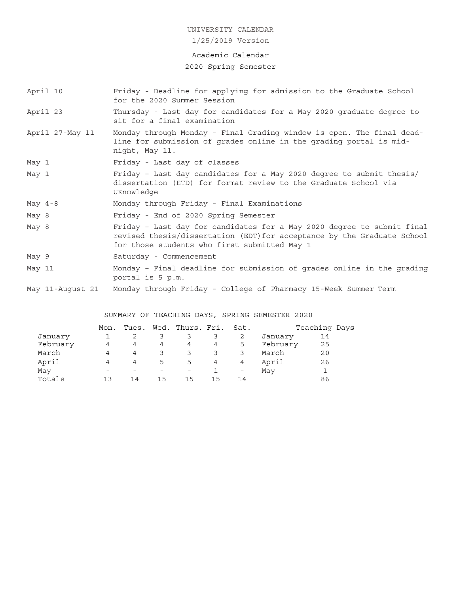1/25/2019 Version

## Academic Calendar

## 2020 Spring Semester

- April 10 Friday Deadline for applying for admission to the Graduate School for the 2020 Summer Session
- April 23 Thursday Last day for candidates for a May 2020 graduate degree to sit for a final examination
- April 27-May 11 Monday through Monday Final Grading window is open. The final deadline for submission of grades online in the grading portal is midnight, May 11.
- May 1 Friday Last day of classes
- May 1 Friday Last day candidates for a May 2020 degree to submit thesis/ dissertation (ETD) for format review to the Graduate School via UKnowledge
- May 4-8 Monday through Friday Final Examinations
- May 8 Friday End of 2020 Spring Semester
- May 8 Friday Last day for candidates for a May 2020 degree to submit final revised thesis/dissertation (EDT)for acceptance by the Graduate School for those students who first submitted May 1
- May 9 Saturday Commencement
- May 11 Monday Final deadline for submission of grades online in the grading portal is 5 p.m.
- May 11-August 21 Monday through Friday College of Pharmacy 15-Week Summer Term

## SUMMARY OF TEACHING DAYS, SPRING SEMESTER 2020

|          | Mon.                     |    |    | Tues. Wed. Thurs. Fri. Sat. |                |                          |          | Teaching Days |  |
|----------|--------------------------|----|----|-----------------------------|----------------|--------------------------|----------|---------------|--|
| January  |                          |    |    | 3                           | 3              | -2                       | January  | 14            |  |
| February | 4                        | 4  | 4  | 4                           | 4              | 5                        | February | 25            |  |
| March    | 4                        | 4  | 3  |                             |                | 3                        | March    | 20            |  |
| April    | 4                        | 4  | 5. | 5                           | $\overline{4}$ | 4                        | April    | 26            |  |
| May      | $\overline{\phantom{a}}$ |    |    | $\overline{\phantom{0}}$    |                | $\overline{\phantom{m}}$ | May      |               |  |
| Totals   | 1 ว                      | 14 | 15 | 15                          | 15             | 14                       |          | 86            |  |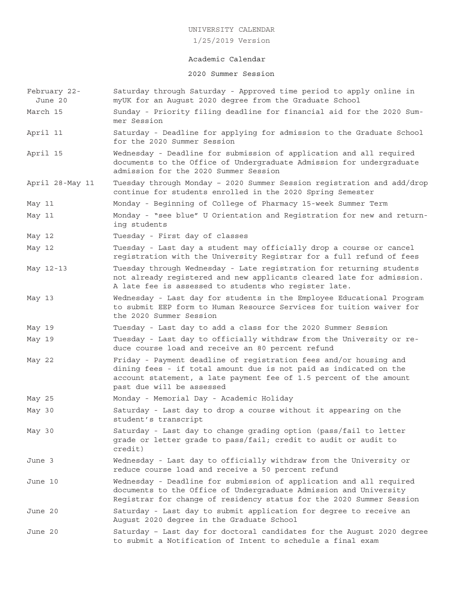1/25/2019 Version

### Academic Calendar

## 2020 Summer Session

- February 22- Saturday through Saturday Approved time period to apply online in June 20 myUK for an August 2020 degree from the Graduate School
- March 15 Sunday Priority filing deadline for financial aid for the 2020 Summer Session
- April 11 Saturday Deadline for applying for admission to the Graduate School for the 2020 Summer Session
- April 15 Wednesday Deadline for submission of application and all required documents to the Office of Undergraduate Admission for undergraduate admission for the 2020 Summer Session
- April 28-May 11 Tuesday through Monday 2020 Summer Session registration and add/drop continue for students enrolled in the 2020 Spring Semester
- May 11 Monday Beginning of College of Pharmacy 15-week Summer Term
- May 11 Monday "see blue" U Orientation and Registration for new and returning students
- May 12 Tuesday First day of classes
- May 12 Tuesday Last day a student may officially drop a course or cancel registration with the University Registrar for a full refund of fees
- May 12-13 Tuesday through Wednesday Late registration for returning students not already registered and new applicants cleared late for admission. A late fee is assessed to students who register late.
- May 13 Wednesday Last day for students in the Employee Educational Program to submit EEP form to Human Resource Services for tuition waiver for the 2020 Summer Session
- May 19 Tuesday Last day to add a class for the 2020 Summer Session
- May 19 Tuesday Last day to officially withdraw from the University or reduce course load and receive an 80 percent refund
- May 22 Friday Payment deadline of registration fees and/or housing and dining fees - if total amount due is not paid as indicated on the account statement, a late payment fee of 1.5 percent of the amount past due will be assessed
- May 25 Monday Memorial Day Academic Holiday
- May 30 Saturday Last day to drop a course without it appearing on the student's transcript
- May 30 Saturday Last day to change grading option (pass/fail to letter grade or letter grade to pass/fail; credit to audit or audit to credit)
- June 3 Wednesday Last day to officially withdraw from the University or reduce course load and receive a 50 percent refund
- June 10 Wednesday Deadline for submission of application and all required documents to the Office of Undergraduate Admission and University Registrar for change of residency status for the 2020 Summer Session
- June 20 Saturday Last day to submit application for degree to receive an August 2020 degree in the Graduate School
- June 20 Saturday Last day for doctoral candidates for the August 2020 degree to submit a Notification of Intent to schedule a final exam